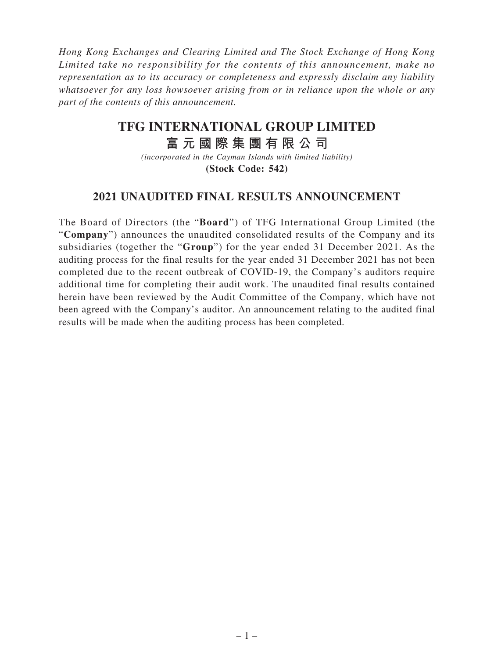*Hong Kong Exchanges and Clearing Limited and The Stock Exchange of Hong Kong Limited take no responsibility for the contents of this announcement, make no representation as to its accuracy or completeness and expressly disclaim any liability whatsoever for any loss howsoever arising from or in reliance upon the whole or any part of the contents of this announcement.*

# **TFG INTERNATIONAL GROUP LIMITED**

# **富元國際集團有限公司**

*(incorporated in the Cayman Islands with limited liability)* **(Stock Code: 542)**

## **2021 UNAUDITED FINAL RESULTS ANNOUNCEMENT**

The Board of Directors (the "**Board**") of TFG International Group Limited (the "**Company**") announces the unaudited consolidated results of the Company and its subsidiaries (together the "**Group**") for the year ended 31 December 2021. As the auditing process for the final results for the year ended 31 December 2021 has not been completed due to the recent outbreak of COVID-19, the Company's auditors require additional time for completing their audit work. The unaudited final results contained herein have been reviewed by the Audit Committee of the Company, which have not been agreed with the Company's auditor. An announcement relating to the audited final results will be made when the auditing process has been completed.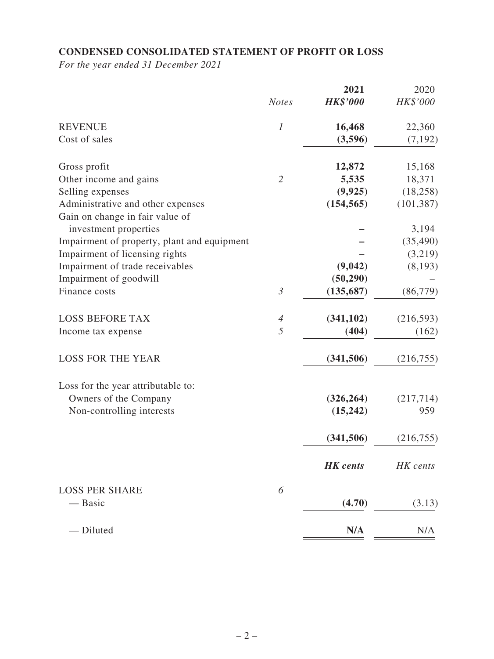### **CONDENSED CONSOLIDATED STATEMENT OF PROFIT OR LOSS**

*For the year ended 31 December 2021*

|                                             | <b>Notes</b>     | 2021<br><b>HK\$'000</b> | 2020<br>HK\$'000 |
|---------------------------------------------|------------------|-------------------------|------------------|
|                                             |                  |                         |                  |
| <b>REVENUE</b>                              | $\boldsymbol{l}$ | 16,468                  | 22,360           |
| Cost of sales                               |                  | (3,596)                 | (7, 192)         |
| Gross profit                                |                  | 12,872                  | 15,168           |
| Other income and gains                      | $\overline{2}$   | 5,535                   | 18,371           |
| Selling expenses                            |                  | (9, 925)                | (18, 258)        |
| Administrative and other expenses           |                  | (154, 565)              | (101, 387)       |
| Gain on change in fair value of             |                  |                         |                  |
| investment properties                       |                  |                         | 3,194            |
| Impairment of property, plant and equipment |                  |                         | (35, 490)        |
| Impairment of licensing rights              |                  |                         | (3,219)          |
| Impairment of trade receivables             |                  | (9,042)                 | (8, 193)         |
| Impairment of goodwill                      |                  | (50, 290)               |                  |
| Finance costs                               | $\mathfrak{Z}$   | (135, 687)              | (86, 779)        |
| <b>LOSS BEFORE TAX</b>                      | $\overline{4}$   | (341, 102)              | (216, 593)       |
| Income tax expense                          | 5                | (404)                   | (162)            |
| <b>LOSS FOR THE YEAR</b>                    |                  | (341, 506)              | (216, 755)       |
| Loss for the year attributable to:          |                  |                         |                  |
| Owners of the Company                       |                  | (326, 264)              | (217, 714)       |
| Non-controlling interests                   |                  | (15, 242)               | 959              |
|                                             |                  | (341, 506)              | (216, 755)       |
|                                             |                  | <b>HK</b> cents         | HK cents         |
| <b>LOSS PER SHARE</b>                       | 6                |                         |                  |
| — Basic                                     |                  | (4.70)                  | (3.13)           |
| - Diluted                                   |                  | N/A                     | N/A              |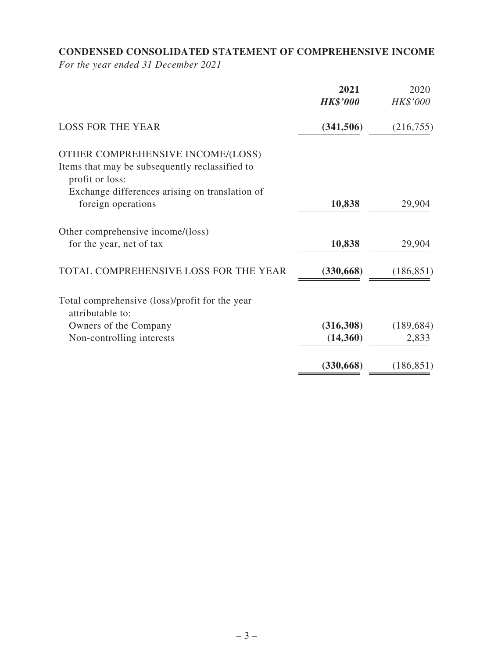# **CONDENSED CONSOLIDATED STATEMENT OF COMPREHENSIVE INCOME**

*For the year ended 31 December 2021*

|                                                                                                        | 2021<br><b>HK\$'000</b> | 2020<br>HK\$'000 |
|--------------------------------------------------------------------------------------------------------|-------------------------|------------------|
| <b>LOSS FOR THE YEAR</b>                                                                               | (341, 506)              | (216,755)        |
| OTHER COMPREHENSIVE INCOME/(LOSS)<br>Items that may be subsequently reclassified to<br>profit or loss: |                         |                  |
| Exchange differences arising on translation of<br>foreign operations                                   | 10,838                  | 29,904           |
| Other comprehensive income/(loss)<br>for the year, net of tax                                          | 10,838                  | 29,904           |
| TOTAL COMPREHENSIVE LOSS FOR THE YEAR                                                                  | (330, 668)              | (186, 851)       |
| Total comprehensive (loss)/profit for the year<br>attributable to:                                     |                         |                  |
| Owners of the Company                                                                                  | (316,308)               | (189, 684)       |
| Non-controlling interests                                                                              | (14,360)                | 2,833            |
|                                                                                                        | (330, 668)              | (186, 851)       |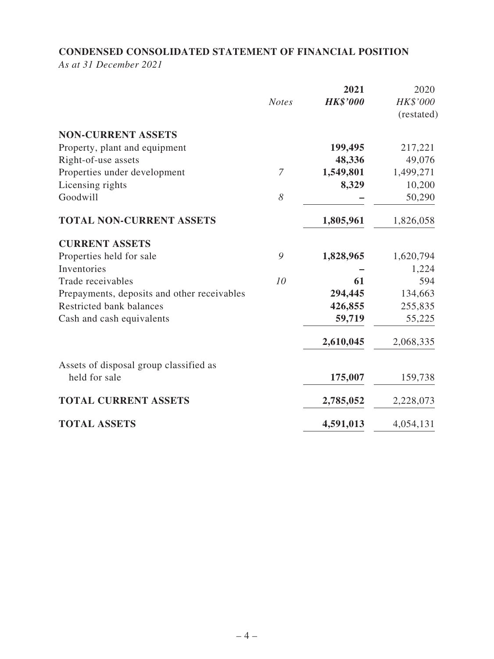### **CONDENSED CONSOLIDATED STATEMENT OF FINANCIAL POSITION**

*As at 31 December 2021*

|                                             | <b>Notes</b> | 2021<br><b>HK\$'000</b> | 2020<br>HK\$'000<br>(restated) |
|---------------------------------------------|--------------|-------------------------|--------------------------------|
| <b>NON-CURRENT ASSETS</b>                   |              |                         |                                |
| Property, plant and equipment               |              | 199,495                 | 217,221                        |
| Right-of-use assets                         |              | 48,336                  | 49,076                         |
| Properties under development                | 7            | 1,549,801               | 1,499,271                      |
| Licensing rights                            |              | 8,329                   | 10,200                         |
| Goodwill                                    | 8            |                         | 50,290                         |
| <b>TOTAL NON-CURRENT ASSETS</b>             |              | 1,805,961               | 1,826,058                      |
| <b>CURRENT ASSETS</b>                       |              |                         |                                |
| Properties held for sale                    | 9            | 1,828,965               | 1,620,794                      |
| Inventories                                 |              |                         | 1,224                          |
| Trade receivables                           | 10           | 61                      | 594                            |
| Prepayments, deposits and other receivables |              | 294,445                 | 134,663                        |
| Restricted bank balances                    |              | 426,855                 | 255,835                        |
| Cash and cash equivalents                   |              | 59,719                  | 55,225                         |
|                                             |              | 2,610,045               | 2,068,335                      |
| Assets of disposal group classified as      |              |                         |                                |
| held for sale                               |              | 175,007                 | 159,738                        |
| <b>TOTAL CURRENT ASSETS</b>                 |              | 2,785,052               | 2,228,073                      |
| <b>TOTAL ASSETS</b>                         |              | 4,591,013               | 4,054,131                      |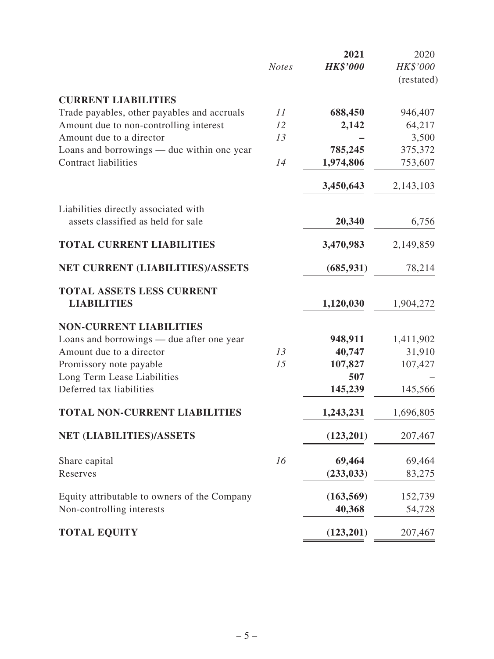|                                              |              | 2021            | 2020       |
|----------------------------------------------|--------------|-----------------|------------|
|                                              | <b>Notes</b> | <b>HK\$'000</b> | HK\$'000   |
|                                              |              |                 | (restated) |
| <b>CURRENT LIABILITIES</b>                   |              |                 |            |
| Trade payables, other payables and accruals  | 11           | 688,450         | 946,407    |
| Amount due to non-controlling interest       | 12           | 2,142           | 64,217     |
| Amount due to a director                     | 13           |                 | 3,500      |
| Loans and borrowings — due within one year   |              | 785,245         | 375,372    |
| <b>Contract liabilities</b>                  | 14           | 1,974,806       | 753,607    |
|                                              |              | 3,450,643       | 2,143,103  |
| Liabilities directly associated with         |              |                 |            |
| assets classified as held for sale           |              | 20,340          | 6,756      |
| <b>TOTAL CURRENT LIABILITIES</b>             |              | 3,470,983       | 2,149,859  |
| NET CURRENT (LIABILITIES)/ASSETS             |              | (685, 931)      | 78,214     |
| <b>TOTAL ASSETS LESS CURRENT</b>             |              |                 |            |
| <b>LIABILITIES</b>                           |              | 1,120,030       | 1,904,272  |
| <b>NON-CURRENT LIABILITIES</b>               |              |                 |            |
| Loans and borrowings — due after one year    |              | 948,911         | 1,411,902  |
| Amount due to a director                     | 13           | 40,747          | 31,910     |
| Promissory note payable                      | 15           | 107,827         | 107,427    |
| Long Term Lease Liabilities                  |              | 507             |            |
| Deferred tax liabilities                     |              | 145,239         | 145,566    |
| <b>TOTAL NON-CURRENT LIABILITIES</b>         |              | 1,243,231       | 1,696,805  |
| NET (LIABILITIES)/ASSETS                     |              | (123, 201)      | 207,467    |
| Share capital                                | 16           | 69,464          | 69,464     |
| Reserves                                     |              | (233, 033)      | 83,275     |
| Equity attributable to owners of the Company |              | (163, 569)      | 152,739    |
| Non-controlling interests                    |              | 40,368          | 54,728     |
| <b>TOTAL EQUITY</b>                          |              | (123,201)       | 207,467    |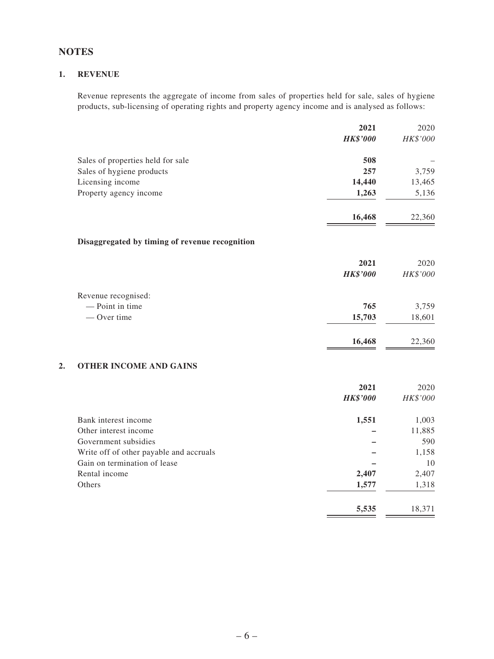### **NOTES**

#### **1. REVENUE**

Revenue represents the aggregate of income from sales of properties held for sale, sales of hygiene products, sub-licensing of operating rights and property agency income and is analysed as follows:

|    |                                                | 2021            | 2020     |
|----|------------------------------------------------|-----------------|----------|
|    |                                                | <b>HK\$'000</b> | HK\$'000 |
|    | Sales of properties held for sale              | 508             |          |
|    | Sales of hygiene products                      | 257             | 3,759    |
|    | Licensing income                               | 14,440          | 13,465   |
|    | Property agency income                         | 1,263           | 5,136    |
|    |                                                | 16,468          | 22,360   |
|    | Disaggregated by timing of revenue recognition |                 |          |
|    |                                                | 2021            | 2020     |
|    |                                                | <b>HK\$'000</b> | HK\$'000 |
|    | Revenue recognised:                            |                 |          |
|    | - Point in time                                | 765             | 3,759    |
|    | - Over time                                    | 15,703          | 18,601   |
|    |                                                | 16,468          | 22,360   |
| 2. | <b>OTHER INCOME AND GAINS</b>                  |                 |          |
|    |                                                | 2021            | 2020     |
|    |                                                | <b>HK\$'000</b> | HK\$'000 |
|    | Bank interest income                           | 1,551           | 1,003    |
|    | Other interest income                          |                 | 11,885   |
|    | Government subsidies                           |                 | 590      |
|    | Write off of other payable and accruals        |                 | 1,158    |
|    | Gain on termination of lease                   |                 | 10       |
|    | Rental income                                  | 2.407           | 2.407    |

| Rental income | 2,407 | 2,407  |
|---------------|-------|--------|
| Others        | 1,577 | 1,318  |
|               | 5,535 | 18,371 |
|               |       |        |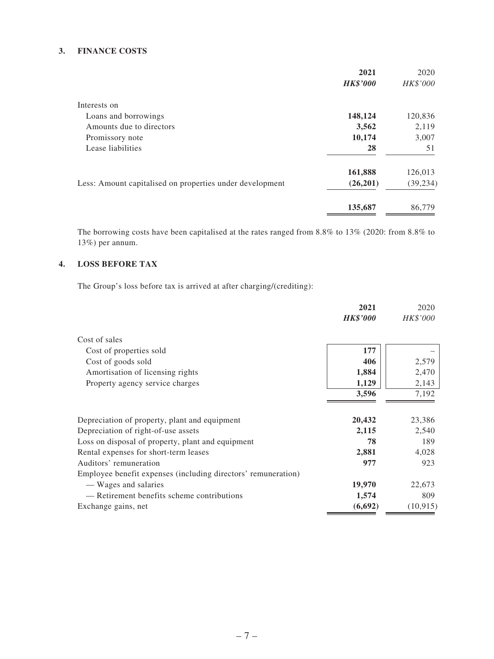#### **3. FINANCE COSTS**

|                                                          | 2021            | 2020      |
|----------------------------------------------------------|-----------------|-----------|
|                                                          | <b>HK\$'000</b> | HK\$'000  |
| Interests on                                             |                 |           |
| Loans and borrowings                                     | 148,124         | 120,836   |
| Amounts due to directors                                 | 3,562           | 2,119     |
| Promissory note                                          | 10,174          | 3,007     |
| Lease liabilities                                        | 28              | 51        |
|                                                          | 161,888         | 126,013   |
| Less: Amount capitalised on properties under development | (26,201)        | (39, 234) |
|                                                          | 135,687         | 86,779    |
|                                                          |                 |           |

The borrowing costs have been capitalised at the rates ranged from 8.8% to 13% (2020: from 8.8% to 13%) per annum.

### **4. LOSS BEFORE TAX**

The Group's loss before tax is arrived at after charging/(crediting):

|                                                               | 2021            | 2020      |
|---------------------------------------------------------------|-----------------|-----------|
|                                                               | <b>HK\$'000</b> | HK\$'000  |
| Cost of sales                                                 |                 |           |
| Cost of properties sold                                       | 177             |           |
| Cost of goods sold                                            | 406             | 2,579     |
| Amortisation of licensing rights                              | 1,884           | 2,470     |
| Property agency service charges                               | 1,129           | 2,143     |
|                                                               | 3,596           | 7,192     |
|                                                               |                 |           |
| Depreciation of property, plant and equipment                 | 20,432          | 23,386    |
| Depreciation of right-of-use assets                           | 2,115           | 2,540     |
| Loss on disposal of property, plant and equipment             | 78              | 189       |
| Rental expenses for short-term leases                         | 2,881           | 4,028     |
| Auditors' remuneration                                        | 977             | 923       |
| Employee benefit expenses (including directors' remuneration) |                 |           |
| — Wages and salaries                                          | 19,970          | 22,673    |
| — Retirement benefits scheme contributions                    | 1,574           | 809       |
| Exchange gains, net                                           | (6, 692)        | (10, 915) |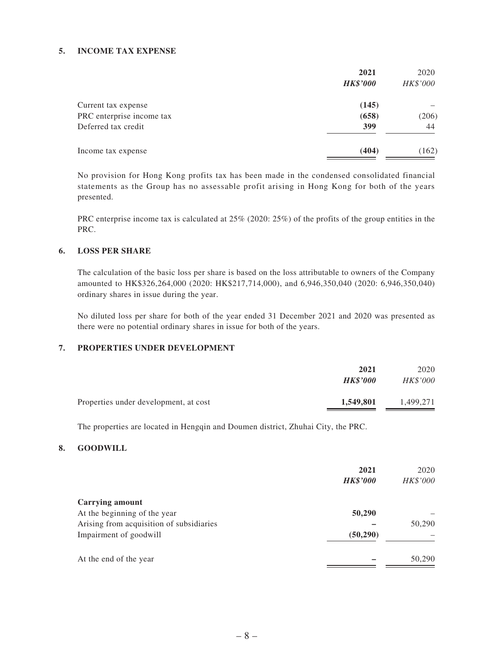#### **5. INCOME TAX EXPENSE**

|                           | 2021            | 2020     |
|---------------------------|-----------------|----------|
|                           | <b>HK\$'000</b> | HK\$'000 |
| Current tax expense       | (145)           |          |
| PRC enterprise income tax | (658)           | (206)    |
| Deferred tax credit       | 399             | 44       |
| Income tax expense        | (404)           | (162)    |

No provision for Hong Kong profits tax has been made in the condensed consolidated financial statements as the Group has no assessable profit arising in Hong Kong for both of the years presented.

PRC enterprise income tax is calculated at 25% (2020: 25%) of the profits of the group entities in the PRC.

#### **6. LOSS PER SHARE**

The calculation of the basic loss per share is based on the loss attributable to owners of the Company amounted to HK\$326,264,000 (2020: HK\$217,714,000), and 6,946,350,040 (2020: 6,946,350,040) ordinary shares in issue during the year.

No diluted loss per share for both of the year ended 31 December 2021 and 2020 was presented as there were no potential ordinary shares in issue for both of the years.

#### **7. PROPERTIES UNDER DEVELOPMENT**

|                                       | 2021<br><b>HK\$'000</b> | 2020<br><b>HK\$'000</b> |
|---------------------------------------|-------------------------|-------------------------|
| Properties under development, at cost | 1,549,801               | 1.499.271               |

The properties are located in Hengqin and Doumen district, Zhuhai City, the PRC.

#### **8. GOODWILL**

|                                          | 2021<br><b>HK\$'000</b> | 2020<br>HK\$'000 |
|------------------------------------------|-------------------------|------------------|
| <b>Carrying amount</b>                   |                         |                  |
| At the beginning of the year             | 50,290                  |                  |
| Arising from acquisition of subsidiaries |                         | 50,290           |
| Impairment of goodwill                   | (50, 290)               |                  |
| At the end of the year                   |                         | 50,290           |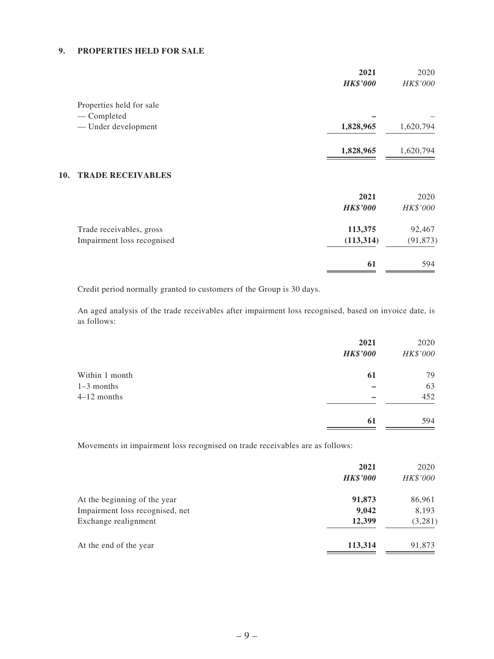#### **9. PROPERTIES HELD FOR SALE**

|                                 | 2021<br><b>HK\$'000</b> | 2020<br>HK\$'000 |
|---------------------------------|-------------------------|------------------|
| Properties held for sale        |                         |                  |
| — Completed                     |                         |                  |
| - Under development             | 1,828,965               | 1,620,794        |
|                                 | 1,828,965               | 1,620,794        |
| <b>TRADE RECEIVABLES</b><br>10. |                         |                  |
|                                 | 2021                    | 2020             |
|                                 | <b>HK\$'000</b>         | HK\$'000         |
| Trade receivables, gross        | 113,375                 | 92,467           |
| Impairment loss recognised      | (113, 314)              | (91, 873)        |
|                                 | 61                      | 594              |

Credit period normally granted to customers of the Group is 30 days.

An aged analysis of the trade receivables after impairment loss recognised, based on invoice date, is as follows:

|                | 2021<br><b>HK\$'000</b> | 2020<br>HK\$'000 |
|----------------|-------------------------|------------------|
| Within 1 month | 61                      | 79               |
| $1-3$ months   |                         | 63               |
| $4-12$ months  |                         | 452              |
|                | 61                      | 594              |

Movements in impairment loss recognised on trade receivables are as follows:

|                                 | 2021<br><b>HK\$'000</b> | 2020<br>HK\$'000 |
|---------------------------------|-------------------------|------------------|
| At the beginning of the year    | 91,873                  | 86,961           |
| Impairment loss recognised, net | 9,042                   | 8,193            |
| Exchange realignment            | 12,399                  | (3,281)          |
| At the end of the year          | 113,314                 | 91,873           |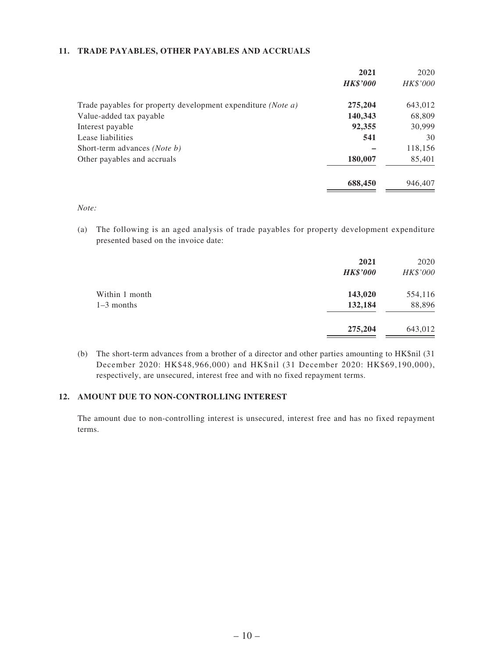#### **11. TRADE PAYABLES, OTHER PAYABLES AND ACCRUALS**

| 2021            | 2020     |
|-----------------|----------|
| <b>HK\$'000</b> | HK\$'000 |
| 275,204         | 643,012  |
| 140,343         | 68,809   |
| 92,355          | 30,999   |
| 541             | 30       |
|                 | 118,156  |
| 180,007         | 85,401   |
| 688,450         | 946,407  |
|                 |          |

*Note:*

(a) The following is an aged analysis of trade payables for property development expenditure presented based on the invoice date:

|                                | 2021<br><b>HK\$'000</b> | 2020<br>HK\$'000  |
|--------------------------------|-------------------------|-------------------|
| Within 1 month<br>$1-3$ months | 143,020<br>132,184      | 554,116<br>88,896 |
|                                | 275,204                 | 643,012           |

(b) The short-term advances from a brother of a director and other parties amounting to HK\$nil (31 December 2020: HK\$48,966,000) and HK\$nil (31 December 2020: HK\$69,190,000), respectively, are unsecured, interest free and with no fixed repayment terms.

#### **12. AMOUNT DUE TO NON-CONTROLLING INTEREST**

The amount due to non-controlling interest is unsecured, interest free and has no fixed repayment terms.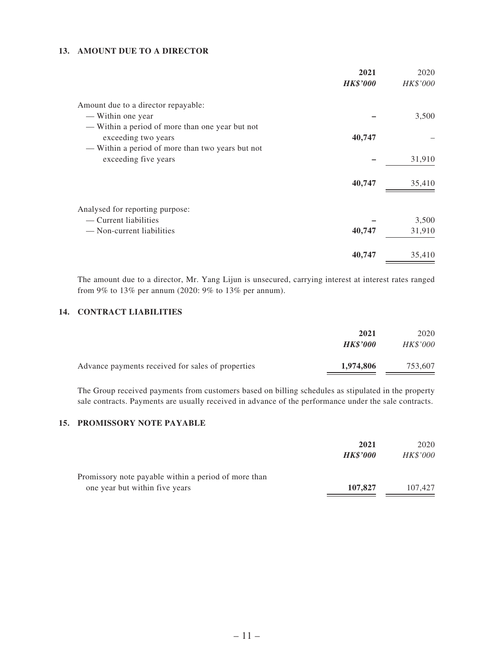#### **13. AMOUNT DUE TO A DIRECTOR**

|                                                                                                                            | 2021<br><b>HK\$'000</b> | 2020<br>HK\$'000 |
|----------------------------------------------------------------------------------------------------------------------------|-------------------------|------------------|
| Amount due to a director repayable:                                                                                        |                         |                  |
| — Within one year                                                                                                          |                         | 3,500            |
| — Within a period of more than one year but not<br>exceeding two years<br>— Within a period of more than two years but not | 40,747                  |                  |
| exceeding five years                                                                                                       |                         | 31,910           |
|                                                                                                                            | 40,747                  | 35,410           |
| Analysed for reporting purpose:                                                                                            |                         |                  |
| — Current liabilities                                                                                                      |                         | 3,500            |
| — Non-current liabilities                                                                                                  | 40,747                  | 31,910           |
|                                                                                                                            | 40,747                  | 35,410           |

The amount due to a director, Mr. Yang Lijun is unsecured, carrying interest at interest rates ranged from 9% to 13% per annum (2020: 9% to 13% per annum).

#### **14. CONTRACT LIABILITIES**

|                                                   | 2021<br><b>HK\$'000</b> | 2020<br><i>HK\$'000</i> |
|---------------------------------------------------|-------------------------|-------------------------|
| Advance payments received for sales of properties | 1,974,806               | 753,607                 |

The Group received payments from customers based on billing schedules as stipulated in the property sale contracts. Payments are usually received in advance of the performance under the sale contracts.

#### **15. PROMISSORY NOTE PAYABLE**

|                                                                                        | 2021<br><b>HK\$'000</b> | 2020<br><b>HK\$'000</b> |
|----------------------------------------------------------------------------------------|-------------------------|-------------------------|
| Promissory note payable within a period of more than<br>one year but within five years | 107,827                 | 107.427                 |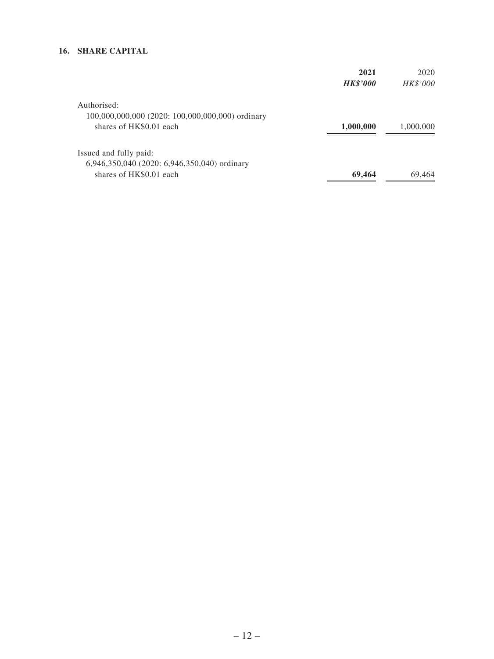### **16. SHARE CAPITAL**

|                                                  | 2021            | 2020            |
|--------------------------------------------------|-----------------|-----------------|
|                                                  | <b>HK\$'000</b> | <b>HK\$'000</b> |
| Authorised:                                      |                 |                 |
| 100,000,000,000 (2020: 100,000,000,000) ordinary |                 |                 |
| shares of HK\$0.01 each                          | 1,000,000       | 1,000,000       |
| Issued and fully paid:                           |                 |                 |
| 6,946,350,040 (2020: 6,946,350,040) ordinary     |                 |                 |
| shares of HK\$0.01 each                          | 69,464          | 69,464          |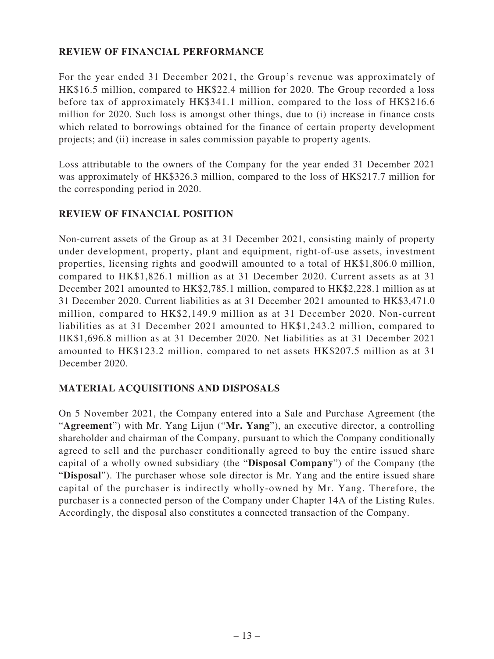### **REVIEW OF FINANCIAL PERFORMANCE**

For the year ended 31 December 2021, the Group's revenue was approximately of HK\$16.5 million, compared to HK\$22.4 million for 2020. The Group recorded a loss before tax of approximately HK\$341.1 million, compared to the loss of HK\$216.6 million for 2020. Such loss is amongst other things, due to (i) increase in finance costs which related to borrowings obtained for the finance of certain property development projects; and (ii) increase in sales commission payable to property agents.

Loss attributable to the owners of the Company for the year ended 31 December 2021 was approximately of HK\$326.3 million, compared to the loss of HK\$217.7 million for the corresponding period in 2020.

### **REVIEW OF FINANCIAL POSITION**

Non-current assets of the Group as at 31 December 2021, consisting mainly of property under development, property, plant and equipment, right-of-use assets, investment properties, licensing rights and goodwill amounted to a total of HK\$1,806.0 million, compared to HK\$1,826.1 million as at 31 December 2020. Current assets as at 31 December 2021 amounted to HK\$2,785.1 million, compared to HK\$2,228.1 million as at 31 December 2020. Current liabilities as at 31 December 2021 amounted to HK\$3,471.0 million, compared to HK\$2,149.9 million as at 31 December 2020. Non-current liabilities as at 31 December 2021 amounted to HK\$1,243.2 million, compared to HK\$1,696.8 million as at 31 December 2020. Net liabilities as at 31 December 2021 amounted to HK\$123.2 million, compared to net assets HK\$207.5 million as at 31 December 2020.

### **MATERIAL ACQUISITIONS AND DISPOSALS**

On 5 November 2021, the Company entered into a Sale and Purchase Agreement (the "**Agreement**") with Mr. Yang Lijun ("**Mr. Yang**"), an executive director, a controlling shareholder and chairman of the Company, pursuant to which the Company conditionally agreed to sell and the purchaser conditionally agreed to buy the entire issued share capital of a wholly owned subsidiary (the "**Disposal Company**") of the Company (the "**Disposal**"). The purchaser whose sole director is Mr. Yang and the entire issued share capital of the purchaser is indirectly wholly-owned by Mr. Yang. Therefore, the purchaser is a connected person of the Company under Chapter 14A of the Listing Rules. Accordingly, the disposal also constitutes a connected transaction of the Company.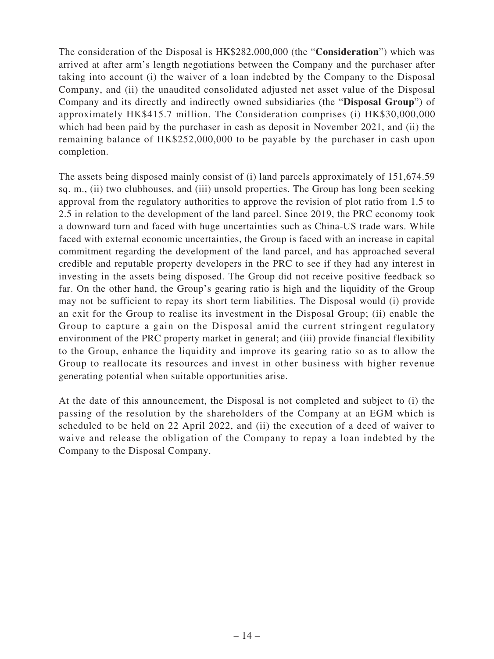The consideration of the Disposal is HK\$282,000,000 (the "**Consideration**") which was arrived at after arm's length negotiations between the Company and the purchaser after taking into account (i) the waiver of a loan indebted by the Company to the Disposal Company, and (ii) the unaudited consolidated adjusted net asset value of the Disposal Company and its directly and indirectly owned subsidiaries (the "**Disposal Group**") of approximately HK\$415.7 million. The Consideration comprises (i) HK\$30,000,000 which had been paid by the purchaser in cash as deposit in November 2021, and (ii) the remaining balance of HK\$252,000,000 to be payable by the purchaser in cash upon completion.

The assets being disposed mainly consist of (i) land parcels approximately of 151,674.59 sq. m., (ii) two clubhouses, and (iii) unsold properties. The Group has long been seeking approval from the regulatory authorities to approve the revision of plot ratio from 1.5 to 2.5 in relation to the development of the land parcel. Since 2019, the PRC economy took a downward turn and faced with huge uncertainties such as China-US trade wars. While faced with external economic uncertainties, the Group is faced with an increase in capital commitment regarding the development of the land parcel, and has approached several credible and reputable property developers in the PRC to see if they had any interest in investing in the assets being disposed. The Group did not receive positive feedback so far. On the other hand, the Group's gearing ratio is high and the liquidity of the Group may not be sufficient to repay its short term liabilities. The Disposal would (i) provide an exit for the Group to realise its investment in the Disposal Group; (ii) enable the Group to capture a gain on the Disposal amid the current stringent regulatory environment of the PRC property market in general; and (iii) provide financial flexibility to the Group, enhance the liquidity and improve its gearing ratio so as to allow the Group to reallocate its resources and invest in other business with higher revenue generating potential when suitable opportunities arise.

At the date of this announcement, the Disposal is not completed and subject to (i) the passing of the resolution by the shareholders of the Company at an EGM which is scheduled to be held on 22 April 2022, and (ii) the execution of a deed of waiver to waive and release the obligation of the Company to repay a loan indebted by the Company to the Disposal Company.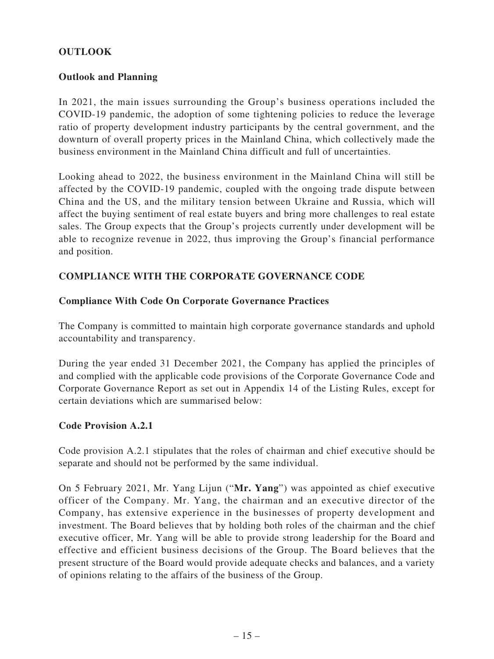### **OUTLOOK**

### **Outlook and Planning**

In 2021, the main issues surrounding the Group's business operations included the COVID-19 pandemic, the adoption of some tightening policies to reduce the leverage ratio of property development industry participants by the central government, and the downturn of overall property prices in the Mainland China, which collectively made the business environment in the Mainland China difficult and full of uncertainties.

Looking ahead to 2022, the business environment in the Mainland China will still be affected by the COVID-19 pandemic, coupled with the ongoing trade dispute between China and the US, and the military tension between Ukraine and Russia, which will affect the buying sentiment of real estate buyers and bring more challenges to real estate sales. The Group expects that the Group's projects currently under development will be able to recognize revenue in 2022, thus improving the Group's financial performance and position.

### **COMPLIANCE WITH THE CORPORATE GOVERNANCE CODE**

### **Compliance With Code On Corporate Governance Practices**

The Company is committed to maintain high corporate governance standards and uphold accountability and transparency.

During the year ended 31 December 2021, the Company has applied the principles of and complied with the applicable code provisions of the Corporate Governance Code and Corporate Governance Report as set out in Appendix 14 of the Listing Rules, except for certain deviations which are summarised below:

### **Code Provision A.2.1**

Code provision A.2.1 stipulates that the roles of chairman and chief executive should be separate and should not be performed by the same individual.

On 5 February 2021, Mr. Yang Lijun ("**Mr. Yang**") was appointed as chief executive officer of the Company. Mr. Yang, the chairman and an executive director of the Company, has extensive experience in the businesses of property development and investment. The Board believes that by holding both roles of the chairman and the chief executive officer, Mr. Yang will be able to provide strong leadership for the Board and effective and efficient business decisions of the Group. The Board believes that the present structure of the Board would provide adequate checks and balances, and a variety of opinions relating to the affairs of the business of the Group.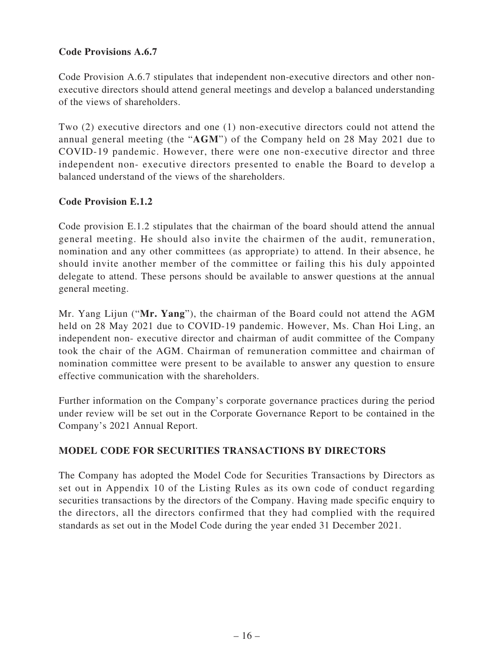### **Code Provisions A.6.7**

Code Provision A.6.7 stipulates that independent non-executive directors and other nonexecutive directors should attend general meetings and develop a balanced understanding of the views of shareholders.

Two (2) executive directors and one (1) non-executive directors could not attend the annual general meeting (the "**AGM**") of the Company held on 28 May 2021 due to COVID-19 pandemic. However, there were one non-executive director and three independent non- executive directors presented to enable the Board to develop a balanced understand of the views of the shareholders.

### **Code Provision E.1.2**

Code provision E.1.2 stipulates that the chairman of the board should attend the annual general meeting. He should also invite the chairmen of the audit, remuneration, nomination and any other committees (as appropriate) to attend. In their absence, he should invite another member of the committee or failing this his duly appointed delegate to attend. These persons should be available to answer questions at the annual general meeting.

Mr. Yang Lijun ("**Mr. Yang**"), the chairman of the Board could not attend the AGM held on 28 May 2021 due to COVID-19 pandemic. However, Ms. Chan Hoi Ling, an independent non- executive director and chairman of audit committee of the Company took the chair of the AGM. Chairman of remuneration committee and chairman of nomination committee were present to be available to answer any question to ensure effective communication with the shareholders.

Further information on the Company's corporate governance practices during the period under review will be set out in the Corporate Governance Report to be contained in the Company's 2021 Annual Report.

### **MODEL CODE FOR SECURITIES TRANSACTIONS BY DIRECTORS**

The Company has adopted the Model Code for Securities Transactions by Directors as set out in Appendix 10 of the Listing Rules as its own code of conduct regarding securities transactions by the directors of the Company. Having made specific enquiry to the directors, all the directors confirmed that they had complied with the required standards as set out in the Model Code during the year ended 31 December 2021.